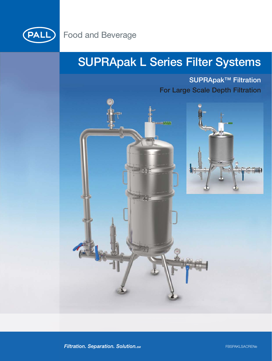

## **SUPRApak L Series Filter Systems**

**SUPRApak™ Filtration For Large Scale Depth Filtration**





Filtration. Separation. Solution.sm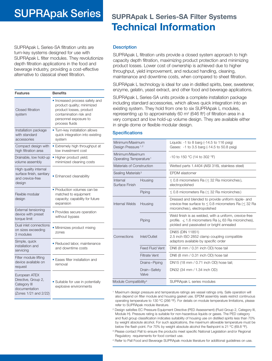## **SUPRApak Series SUPRApak L Series-SA Filter Systems**

SUPRApak L Series-SA filtration units are turn-key systems designed for use with SUPRApak L filter modules. They revolutionize depth filtration applications in the food and beverage industry, providing a cost-effective alternative to classical sheet filtration.

| Features                                                                                       | <b>Benefits</b>                                                                                                                                              |
|------------------------------------------------------------------------------------------------|--------------------------------------------------------------------------------------------------------------------------------------------------------------|
| Closed filtration<br>system                                                                    | • Increased process safety and<br>product quality; minimized<br>product losses, product<br>contamination risk and<br>personnel exposure to<br>process fluids |
| Installation package<br>with standard<br>accessories                                           | • Turn-key installation allows<br>quick integration into existing<br>system                                                                                  |
| Compact design with<br>high filtration area                                                    | • Extremely high throughput at<br>low investment cost                                                                                                        |
| Drainable, low hold-up<br>volume assembly                                                      | • Higher product yield;<br>minimized cleaning costs                                                                                                          |
| High quality internal<br>surface finish, sanitary<br>and crevice-free<br>design                | • Enhanced cleanability                                                                                                                                      |
| Flexible modular<br>design                                                                     | • Production volumes can be<br>matched to equipment<br>capacity; capability for future<br>expansion                                                          |
| External tensioning<br>device with preset<br>torque limit                                      | • Provides secure operation<br>without bypass                                                                                                                |
| Dual inlet connections<br>on sizes exceeding<br>3 modules                                      | • Minimizes product mixing<br>zones                                                                                                                          |
| Simple, quick<br>installation and<br>servicing                                                 | • Reduced labor, maintenance<br>and downtime costs                                                                                                           |
| Filter module lifting<br>device available on<br>request                                        | • Eases filter installation and<br>removal                                                                                                                   |
| European ATEX<br>Directive, Group 2,<br>Category III<br>documentation<br>(Zones 1/21 and 2/22) | • Suitable for use in potentially<br>explosive environments                                                                                                  |

# **Technical Information**

## **Description**

SUPRApak L filtration units provide a closed system approach to high capacity depth filtration, maximizing product protection and minimizing product losses. Lower cost of ownership is achieved due to higher throughput, yield improvement, and reduced handling, cleaning, maintenance and downtime costs, when compared to sheet filtration.

SUPRApak L technology is ideal for use in distilled spirits, beer, sweetener, enzyme, gelatin, yeast extract, and other food and beverage applications.

SUPRApak L Series-SA units provide a complete installation package including standard accessories, which allows quick integration into an existing system. They hold from one to six SUPRApak L modules, representing up to approximately 60 m2 (646 ft2) of filtration area in a very compact and low hold-up volume design. They are available either in single dome or flexible modular design.

### **Specifications**

| Minimum/Maximum<br>Design Pressure <sup>1,2</sup>     |                       | Liquids: -1 to 8 barg (-14.5 to 116 psig)<br>Gases: -1 to 3.5 barg (-14.5 to 50.8 psig)                                                                                |  |  |
|-------------------------------------------------------|-----------------------|------------------------------------------------------------------------------------------------------------------------------------------------------------------------|--|--|
| Minimum/Maximum<br>Operating Temperature <sup>1</sup> |                       | -10 to 150 °C (14 to 302 °F)                                                                                                                                           |  |  |
| Materials of Construction                             |                       | Wetted parts 1.4404 (AISI 316L stainless steel)                                                                                                                        |  |  |
| Sealing Materials <sup>3</sup>                        |                       | <b>EPDM</b> elastomer                                                                                                                                                  |  |  |
| Internal<br>Surface Finish                            | Housing               | $\leq$ 0.8 micrometers Ra ( $\leq$ 32 Ra microinches),<br>electropolished                                                                                              |  |  |
|                                                       | Piping                | $\leq$ 0.8 micrometers Ra ( $\leq$ 32 Ra microinches)                                                                                                                  |  |  |
| Internal Welds                                        | Housing               | Dressed and blended to provide uniform ripple- and<br>crevice-free surface to < 0.8 micrometers Ra (< 32 Ra<br>microinches), electropolished                           |  |  |
|                                                       | Piping                | Weld finish is as welded, with a uniform, crevice-free<br>profile. $\leq$ 1.6 micrometers Ra ( $\leq$ 63 Ra microinches),<br>pickled and passivated or bright annealed |  |  |
| Connections                                           | Inlet/Outlet          | DN65 (DIN 11851)<br>2.5 inch ISO 2852 clamp coupling compatible<br>adaptors available by specific order                                                                |  |  |
|                                                       | Feed Fluid Vent       | DN6 (8 mm / 0.31 inch OD) hose tail                                                                                                                                    |  |  |
|                                                       | <b>Filtrate Vent</b>  | DN6 (8 mm / 0.31 inch OD) hose tail                                                                                                                                    |  |  |
|                                                       | Drains-Piping         | DN15 (18 mm / 0.71 inch OD) hose tail;                                                                                                                                 |  |  |
|                                                       | Drain-Safety<br>Valve | DN32 (34 mm / 1.34 inch OD)                                                                                                                                            |  |  |
| Module Compatibility <sup>4</sup>                     |                       | SUPRApak L series modules                                                                                                                                              |  |  |

<sup>1</sup> Maximum design pressure and temperature ratings are vessel ratings only. Safe operation will also depend on filter module and housing gasket use. EPDM assembly seals restrict continuous operating temperature to 130 ºC (266 ºF). For details on module temperature limitations, please refer to SUPRApak module literature.

<sup>2</sup> Design satisfies EC Pressure Equipment Directive (PED Assessment) (Fluid Group 2, Category III, Module H). Pressure rating is suitable for non-hazardous liquids or gases. The PED category and fluid group classification indicates suitability of housing use on distilled spirits less than 70% by weight absolute alcohol. For such applications, the maximum allowable temperature must be below the flash point. For 70% by weight absolute alcohol the flashpoint is 21 °C (69.8 °F).

<sup>3</sup> Please contact Pall to ensure the products meet specific National Legislation and/or Regional Regulatory requirements for food contact use.

<sup>4</sup> Refer to Pall Food and Beverage SUPRApak module literature for additional guidelines on use.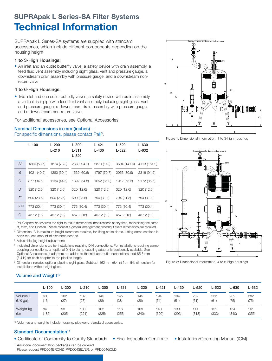## **SUPRApak L Series-SA Filter Systems Technical Information**

SUPRApak L Series-SA systems are supplied with standard accessories, which include different components depending on the housing height.

## **1 to 3-High Housings:**

• An inlet and an outlet butterfly valve, a safety device with drain assembly, a feed fluid vent assembly including sight glass, vent and pressure gauge, a downstream drain assembly with pressure gauge, and a downstream nonreturn valve

## **4 to 6-High Housings:**

• Two inlet and one outlet butterfly valves, a safety device with drain assembly, a vertical riser pipe with feed fluid vent assembly including sight glass, vent and pressure gauge, a downstream drain assembly with pressure gauge, and a downstream non-return valve

For additional accessories, see Optional Accessories.

## **Nominal Dimensions in mm (inches)** —

For specific dimensions, please contact Pall<sup>5</sup>.

|           | $L-100$     | $L - 200$<br>$L-210$ | $L - 300$<br>$L - 311$<br>$L - 320$ | $L - 421$<br>$L - 430$ | $L - 520$<br>$L - 522$ | $L-630$<br>$L - 632$ |
|-----------|-------------|----------------------|-------------------------------------|------------------------|------------------------|----------------------|
| $A^6$     | 1360 (53.5) | 1874 (73.8)          | 2389 (94.1)                         | 2870 (113)             | 3604 (141.9)           | 4113 (161.9)         |
| B         | 1021 (40.2) | 1280 (50.4)          | 1539 (60.6)                         | 1797 (70.7)            | 2056 (80.9)            | 2316 (91.2)          |
| C         | 877 (34.5)  | 1134 (44.6)          | 1392 (54.8)                         | 1652 (65.0)            | 1912 (75.3)            | 2172 (85.5)          |
| $D^7$     | 320 (12.6)  | 320 (12.6)           | 320 (12.6)                          | 320 (12.6)             | 320 (12.6)             | 320 (12.6)           |
| $E^8$     | 600 (23.6)  | 600 (23.6)           | 600 (23.6)                          | 794 (31.3)             | 794 (31.3)             | 794 (31.3)           |
| $F^{8,9}$ | 773 (30.4)  | 773 (30.4)           | 773 (30.4)                          | 773 (30.4)             | 773 (30.4)             | 773 (30.4)           |
| G         | 457.2 (18)  | 457.2 (18)           | 457.2 (18)                          | 457.2 (18)             | 457.2 (18)             | 457.2 (18)           |

<sup>5</sup> Pall Corporation reserves the right to make dimensional modifications at any time, maintaining the same fit, form, and function. Please request a general arrangement drawing if exact dimensions are required.

<sup>6</sup> Dimension 'A' is maximum height clearance required, for lifting entire dome. Lifting dome sections in parts reduces amount of clearance needed.

<sup>7</sup> Adjustable (leg height adjustment)

<sup>8</sup> Indicated dimensions are for installations requiring DIN connections. For installations requiring clamp coupling connections, an optional DIN to clamp coupling adaptor is additionally available. See Optional Accessories. If adaptors are added to the inlet and outlet connections, add 85.3 mm (3.4 in) for each adaptor to the pipeline length.

9 Dimension includes optional pipeline sight glass. Subtract 162 mm (6.4 in) from this dimension for installations without sight glass.

## $\sim$   $14.4$ NON-HAZARDOUS GAS SERVICE -14.5/50.8 psi g  $-10$  $1+2$  $-15$  $-$ <sup>0038</sup> II 2 GD SPLSA()()()()()A G F c E CAexternal come/module rem

Figure 1: Dimensional information, 1 to 3-high housings



Figure 2: Dimensional information, 4 to 6-high housings

## **Volume and Weight<sup>10</sup>**

|           | L-100 | $L - 200$ | $L-210$ | <b>L-300</b> | L-311 | L-320 | L-421 | L-430 | L-520 | L-522 | L-630 | L-632 |
|-----------|-------|-----------|---------|--------------|-------|-------|-------|-------|-------|-------|-------|-------|
| Volume L  | 60    | 102       | 102     | 145          | 145   | 145   | 194   | 194   | 232   | 232   | 282   | 282   |
| (US gal)  | (16)  | (27)      | (27)    | (38)         | (38)  | (38)  | (51)  | (51)  | (61)  | (61)  | (75)  | (75)  |
| Weight kg | 84    | 93        | 100     | 102          | 116   | 109   | 140   | 133   | 144   | 151   | 154   | 161   |
| (lb)      | (185) | (205)     | (221)   | (225)        | (256) | (240) | (309) | (293) | (318) | (333) | (340) | (355) |

<sup>10</sup> Volumes and weights include housing, pipework, standard accessories.

## **Standard Documentation<sup>11</sup>**

- Certificate of Conformity to Quality Standards Final Inspection Certificate Installation/Operating Manual (IOM)
	-
- 

11Additional documentation packages can be ordered. Please request PPD004BRONZ, PPD004SILVER, or PPD004GOLD.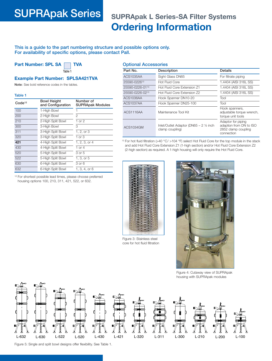## **SUPRApak Series SUPRApak L Series-SA Filter Systems Ordering Information**

**This is a guide to the part numbering structure and possible options only. For availability of specific options, please contact Pall.**

**Part Number: SPL SA TVA** 

**Table 1**

## **Example Part Number: SPLSA421TVA**

**Note:** See bold reference codes in the tables.

### **Table 1**

| Code <sup>12</sup> | <b>Bowl Height</b><br>and Configuration | Number of<br><b>SUPRApak Modules</b> |
|--------------------|-----------------------------------------|--------------------------------------|
| 100                | 1-High Bowl                             |                                      |
| 200                | 2-High Bowl                             | 2                                    |
| 210                | 2-High Split Bowl                       | 1 or $2$                             |
| 300                | 3-High Bowl                             | 3                                    |
| 311                | 3-High Split Bowl                       | 1, 2, or 3                           |
| 320                | 3-High Split Bowl                       | 1 or 3                               |
| 421                | 4-High Split Bowl                       | 1, 2, 3, or 4                        |
| 430                | 4-High Split Bowl                       | 1 or $4$                             |
| 520                | 5-High Split Bowl                       | 3 or 5                               |
| 522                | 5-High Split Bowl                       | 1, 3, or 5                           |
| 630                | 6-High Split Bowl                       | 3 or 6                               |
| 632                | 6-High Split Bowl                       | 1, 3, 4, or 6                        |

<sup>12</sup> For shortest possible lead times, please choose preferred housing options 100, 210, 311, 421, 522, or 632.

## **Optional Accessories**

| Part No.        | Description                                                          | <b>Details</b>                                                                     |
|-----------------|----------------------------------------------------------------------|------------------------------------------------------------------------------------|
| ACS1035AA       | Sight Glass DN65                                                     | For filtrate piping                                                                |
| 25590-022613    | <b>Hot Fluid Core</b>                                                | 1.4404 (AISI 316L SS)                                                              |
| 25590-0226-0113 | Hot Fluid Core Extension Z1                                          | 1.4404 (AISI 316L SS)                                                              |
| 25590-0226-0213 | Hot Fluid Core Extension Z2                                          | 1.4404 (AISI 316L SS)                                                              |
| ACS1036AA       | Hook Spanner DN10-20                                                 | Tool                                                                               |
| ACS1037AA       | Hook Spanner DN25-100                                                | Tool                                                                               |
| ACS1116AA       | Maintenance Tool Kit                                                 | Hook spanners,<br>adjustable torque wrench,<br>torque unit tools                   |
| ACS1034GM       | Inlet/Outlet Adaptor (DN65 $- 2 \frac{1}{2}$ inch<br>clamp coupling) | Adaptor for piping<br>adaption from DN to ISO<br>2852 clamp coupling<br>connection |

<sup>13</sup> For hot fluid filtration (>40  $\degree$ C/ >104  $\degree$ F) select Hot Fluid Core for the top module in the stack and add Hot Fluid Core Extension Z1 (1-high section) and/or Hot Fluid Core Extension Z2 (2-high section) as required. A 1-high housing will only require the Hot Fluid Core.



Figure 3: Stainless steel core for hot fluid filtration



Figure 4: Cutaway view of SUPRApak housing with SUPRApak modules



Figure 5: Single and split bowl designs offer flexibility. See Table 1.